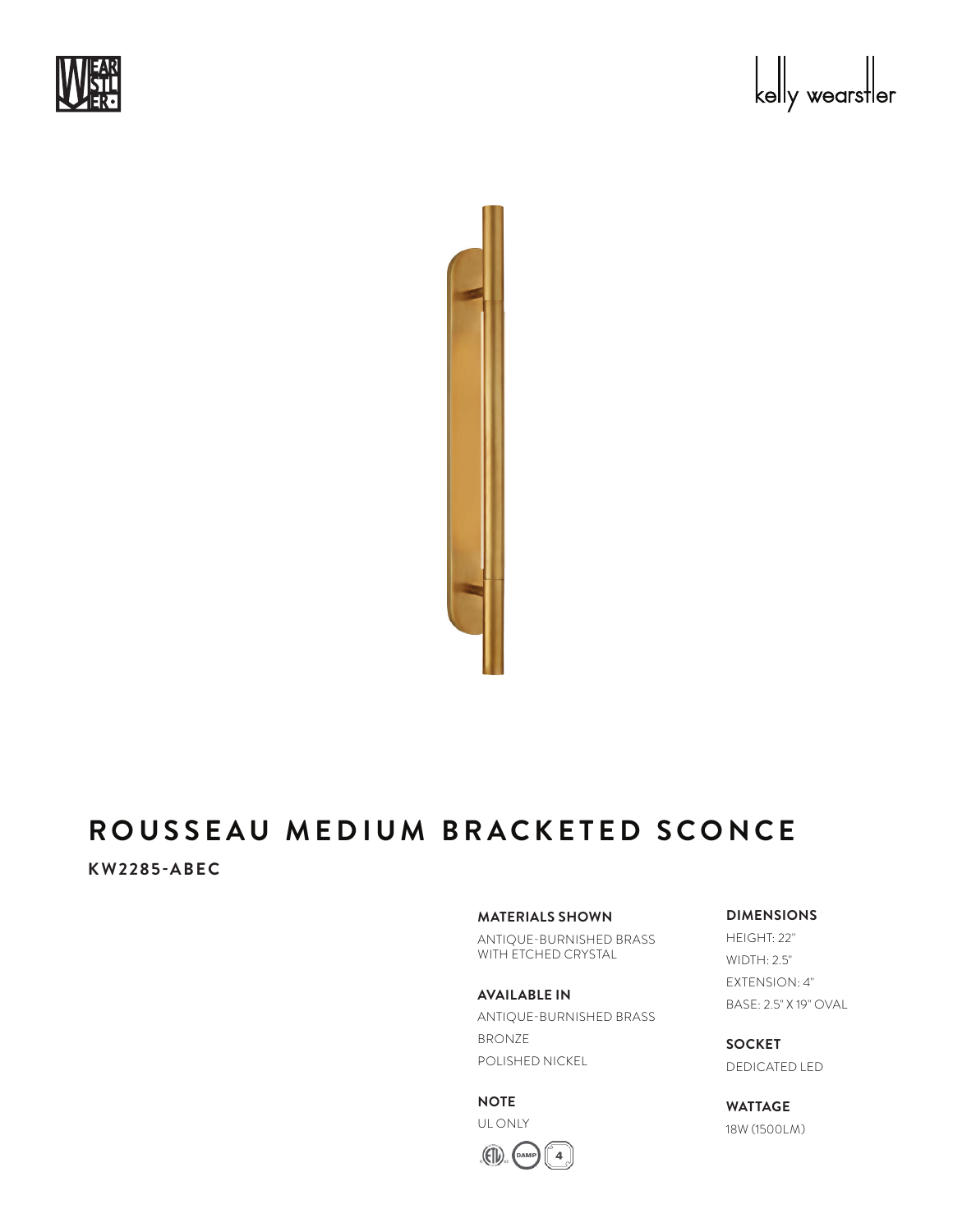





# **ROUSSEAU MEDIUM BRACKETED SCONCE**

## **KW2285-ABEC**

#### **MATERIALS SHOWN**

ANTIQUE-BURNISHED BRASS WITH ETCHED CRYSTAL

#### **AVAILABLE IN**

ANTIQUE-BURNISHED BRASS BRONZE POLISHED NICKEL

#### **NOTE**

UL ONLY



### **DIMENSIONS**

HEIGHT: 22" WIDTH: 2.5" EXTENSION: 4" BASE: 2.5" X 19" OVAL

**SOCKET** DEDICATED LED

**WATTAGE** 18W (1500LM)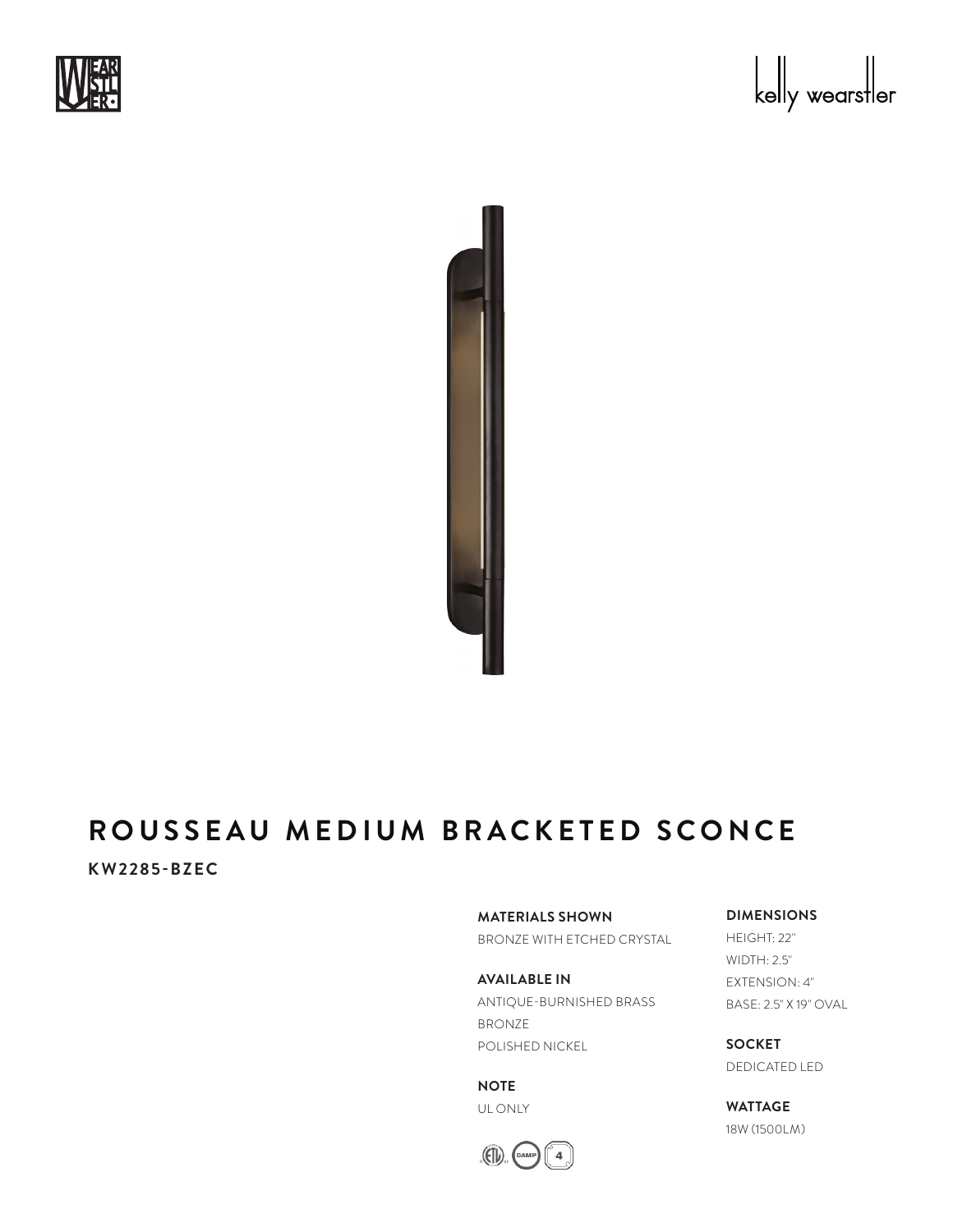





# **ROUSSEAU MEDIUM BRACKETED SCONCE**

# **KW2285-BZEC**

**MATERIALS SHOWN**

BRONZE WITH ETCHED CRYSTAL

**AVAILABLE IN** ANTIQUE-BURNISHED BRASS BRONZE POLISHED NICKEL

**NOTE** UL ONLY



#### **DIMENSIONS**

HEIGHT: 22" WIDTH: 2.5" EXTENSION: 4" BASE: 2.5" X 19" OVAL

**SOCKET** DEDICATED LED

**WATTAGE** 18W (1500LM)